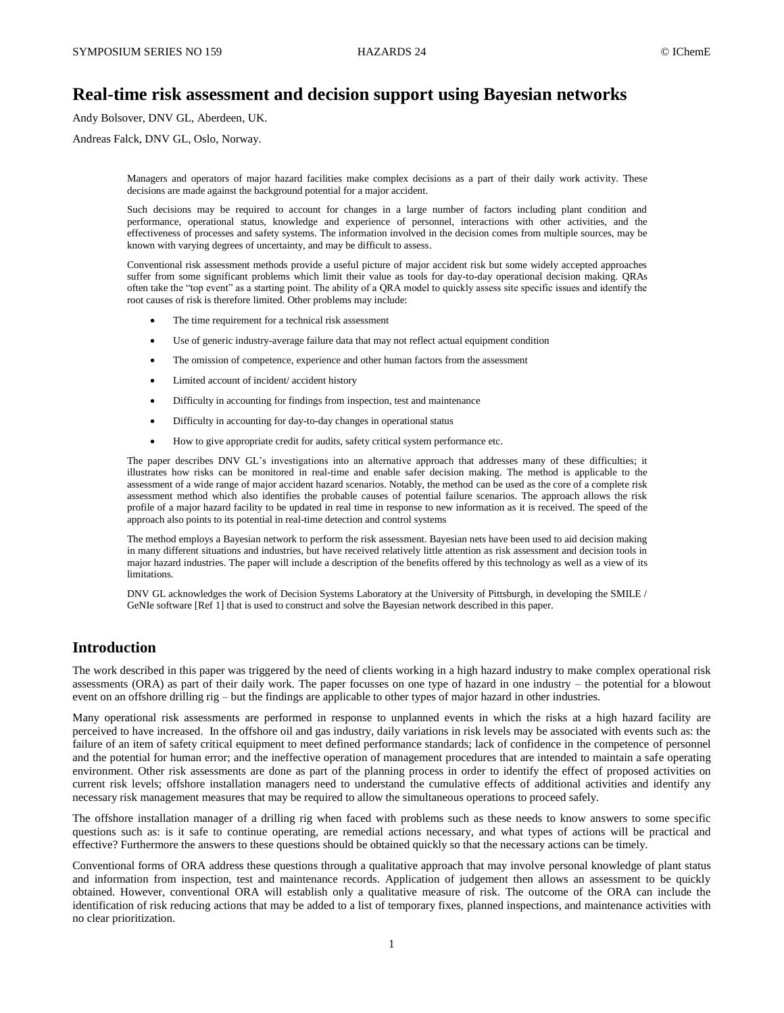# **Real-time risk assessment and decision support using Bayesian networks**

Andy Bolsover, DNV GL, Aberdeen, UK.

Andreas Falck, DNV GL, Oslo, Norway.

Managers and operators of major hazard facilities make complex decisions as a part of their daily work activity. These decisions are made against the background potential for a major accident.

Such decisions may be required to account for changes in a large number of factors including plant condition and performance, operational status, knowledge and experience of personnel, interactions with other activities, and the effectiveness of processes and safety systems. The information involved in the decision comes from multiple sources, may be known with varying degrees of uncertainty, and may be difficult to assess.

Conventional risk assessment methods provide a useful picture of major accident risk but some widely accepted approaches suffer from some significant problems which limit their value as tools for day-to-day operational decision making. QRAs often take the "top event" as a starting point. The ability of a QRA model to quickly assess site specific issues and identify the root causes of risk is therefore limited. Other problems may include:

- The time requirement for a technical risk assessment
- Use of generic industry-average failure data that may not reflect actual equipment condition
- The omission of competence, experience and other human factors from the assessment
- Limited account of incident/ accident history
- Difficulty in accounting for findings from inspection, test and maintenance
- Difficulty in accounting for day-to-day changes in operational status
- How to give appropriate credit for audits, safety critical system performance etc.

The paper describes DNV GL's investigations into an alternative approach that addresses many of these difficulties; it illustrates how risks can be monitored in real-time and enable safer decision making. The method is applicable to the assessment of a wide range of major accident hazard scenarios. Notably, the method can be used as the core of a complete risk assessment method which also identifies the probable causes of potential failure scenarios. The approach allows the risk profile of a major hazard facility to be updated in real time in response to new information as it is received. The speed of the approach also points to its potential in real-time detection and control systems

The method employs a Bayesian network to perform the risk assessment. Bayesian nets have been used to aid decision making in many different situations and industries, but have received relatively little attention as risk assessment and decision tools in major hazard industries. The paper will include a description of the benefits offered by this technology as well as a view of its limitations.

DNV GL acknowledges the work of Decision Systems Laboratory at the University of Pittsburgh, in developing the SMILE / GeNIe software [Ref 1] that is used to construct and solve the Bayesian network described in this paper.

## **Introduction**

The work described in this paper was triggered by the need of clients working in a high hazard industry to make complex operational risk assessments (ORA) as part of their daily work. The paper focusses on one type of hazard in one industry – the potential for a blowout event on an offshore drilling rig – but the findings are applicable to other types of major hazard in other industries.

Many operational risk assessments are performed in response to unplanned events in which the risks at a high hazard facility are perceived to have increased. In the offshore oil and gas industry, daily variations in risk levels may be associated with events such as: the failure of an item of safety critical equipment to meet defined performance standards; lack of confidence in the competence of personnel and the potential for human error; and the ineffective operation of management procedures that are intended to maintain a safe operating environment. Other risk assessments are done as part of the planning process in order to identify the effect of proposed activities on current risk levels; offshore installation managers need to understand the cumulative effects of additional activities and identify any necessary risk management measures that may be required to allow the simultaneous operations to proceed safely.

The offshore installation manager of a drilling rig when faced with problems such as these needs to know answers to some specific questions such as: is it safe to continue operating, are remedial actions necessary, and what types of actions will be practical and effective? Furthermore the answers to these questions should be obtained quickly so that the necessary actions can be timely.

Conventional forms of ORA address these questions through a qualitative approach that may involve personal knowledge of plant status and information from inspection, test and maintenance records. Application of judgement then allows an assessment to be quickly obtained. However, conventional ORA will establish only a qualitative measure of risk. The outcome of the ORA can include the identification of risk reducing actions that may be added to a list of temporary fixes, planned inspections, and maintenance activities with no clear prioritization.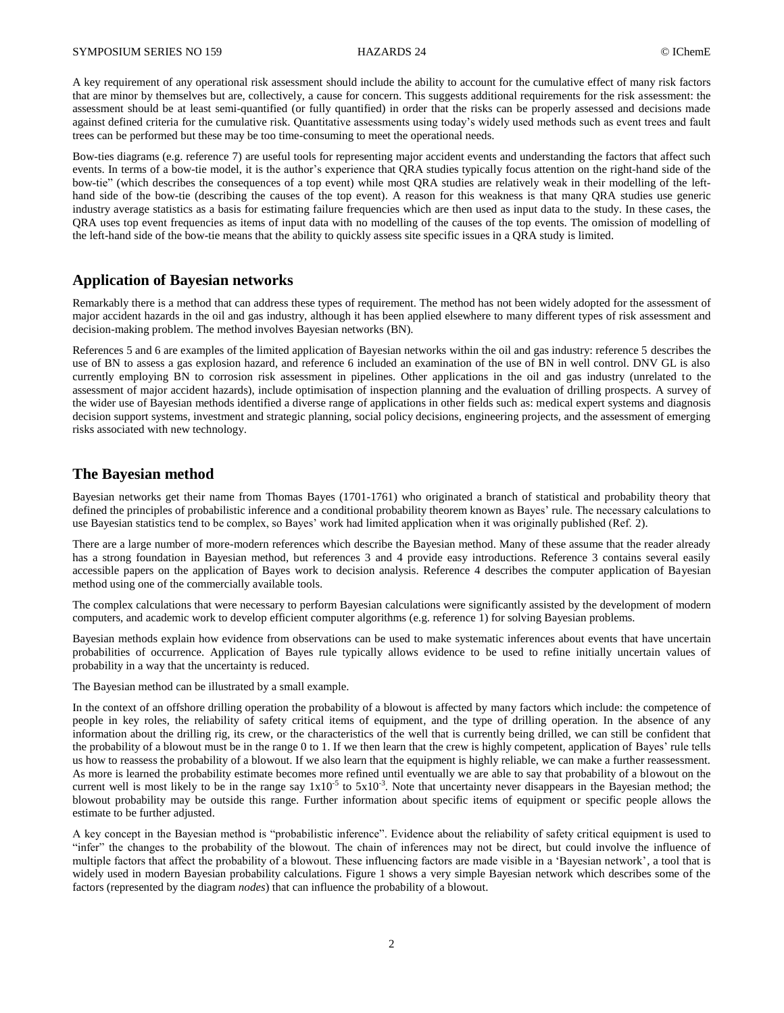A key requirement of any operational risk assessment should include the ability to account for the cumulative effect of many risk factors that are minor by themselves but are, collectively, a cause for concern. This suggests additional requirements for the risk assessment: the assessment should be at least semi-quantified (or fully quantified) in order that the risks can be properly assessed and decisions made against defined criteria for the cumulative risk. Quantitative assessments using today's widely used methods such as event trees and fault trees can be performed but these may be too time-consuming to meet the operational needs.

Bow-ties diagrams (e.g. reference 7) are useful tools for representing major accident events and understanding the factors that affect such events. In terms of a bow-tie model, it is the author's experience that QRA studies typically focus attention on the right-hand side of the bow-tie" (which describes the consequences of a top event) while most QRA studies are relatively weak in their modelling of the lefthand side of the bow-tie (describing the causes of the top event). A reason for this weakness is that many QRA studies use generic industry average statistics as a basis for estimating failure frequencies which are then used as input data to the study. In these cases, the QRA uses top event frequencies as items of input data with no modelling of the causes of the top events. The omission of modelling of the left-hand side of the bow-tie means that the ability to quickly assess site specific issues in a QRA study is limited.

## **Application of Bayesian networks**

Remarkably there is a method that can address these types of requirement. The method has not been widely adopted for the assessment of major accident hazards in the oil and gas industry, although it has been applied elsewhere to many different types of risk assessment and decision-making problem. The method involves Bayesian networks (BN).

References 5 and 6 are examples of the limited application of Bayesian networks within the oil and gas industry: reference 5 describes the use of BN to assess a gas explosion hazard, and reference 6 included an examination of the use of BN in well control. DNV GL is also currently employing BN to corrosion risk assessment in pipelines. Other applications in the oil and gas industry (unrelated to the assessment of major accident hazards), include optimisation of inspection planning and the evaluation of drilling prospects. A survey of the wider use of Bayesian methods identified a diverse range of applications in other fields such as: medical expert systems and diagnosis decision support systems, investment and strategic planning, social policy decisions, engineering projects, and the assessment of emerging risks associated with new technology.

## **The Bayesian method**

Bayesian networks get their name from Thomas Bayes (1701-1761) who originated a branch of statistical and probability theory that defined the principles of probabilistic inference and a conditional probability theorem known as Bayes' rule. The necessary calculations to use Bayesian statistics tend to be complex, so Bayes' work had limited application when it was originally published (Ref. 2).

There are a large number of more-modern references which describe the Bayesian method. Many of these assume that the reader already has a strong foundation in Bayesian method, but references 3 and 4 provide easy introductions. Reference 3 contains several easily accessible papers on the application of Bayes work to decision analysis. Reference 4 describes the computer application of Bayesian method using one of the commercially available tools.

The complex calculations that were necessary to perform Bayesian calculations were significantly assisted by the development of modern computers, and academic work to develop efficient computer algorithms (e.g. reference 1) for solving Bayesian problems.

Bayesian methods explain how evidence from observations can be used to make systematic inferences about events that have uncertain probabilities of occurrence. Application of Bayes rule typically allows evidence to be used to refine initially uncertain values of probability in a way that the uncertainty is reduced.

The Bayesian method can be illustrated by a small example.

In the context of an offshore drilling operation the probability of a blowout is affected by many factors which include: the competence of people in key roles, the reliability of safety critical items of equipment, and the type of drilling operation. In the absence of any information about the drilling rig, its crew, or the characteristics of the well that is currently being drilled, we can still be confident that the probability of a blowout must be in the range 0 to 1. If we then learn that the crew is highly competent, application of Bayes' rule tells us how to reassess the probability of a blowout. If we also learn that the equipment is highly reliable, we can make a further reassessment. As more is learned the probability estimate becomes more refined until eventually we are able to say that probability of a blowout on the current well is most likely to be in the range say  $1x10^{-5}$  to  $5x10^{-3}$ . Note that uncertainty never disappears in the Bayesian method; the blowout probability may be outside this range. Further information about specific items of equipment or specific people allows the estimate to be further adjusted.

A key concept in the Bayesian method is "probabilistic inference". Evidence about the reliability of safety critical equipment is used to "infer" the changes to the probability of the blowout. The chain of inferences may not be direct, but could involve the influence of multiple factors that affect the probability of a blowout. These influencing factors are made visible in a 'Bayesian network', a tool that is widely used in modern Bayesian probability calculations. Figure 1 shows a very simple Bayesian network which describes some of the factors (represented by the diagram *nodes*) that can influence the probability of a blowout.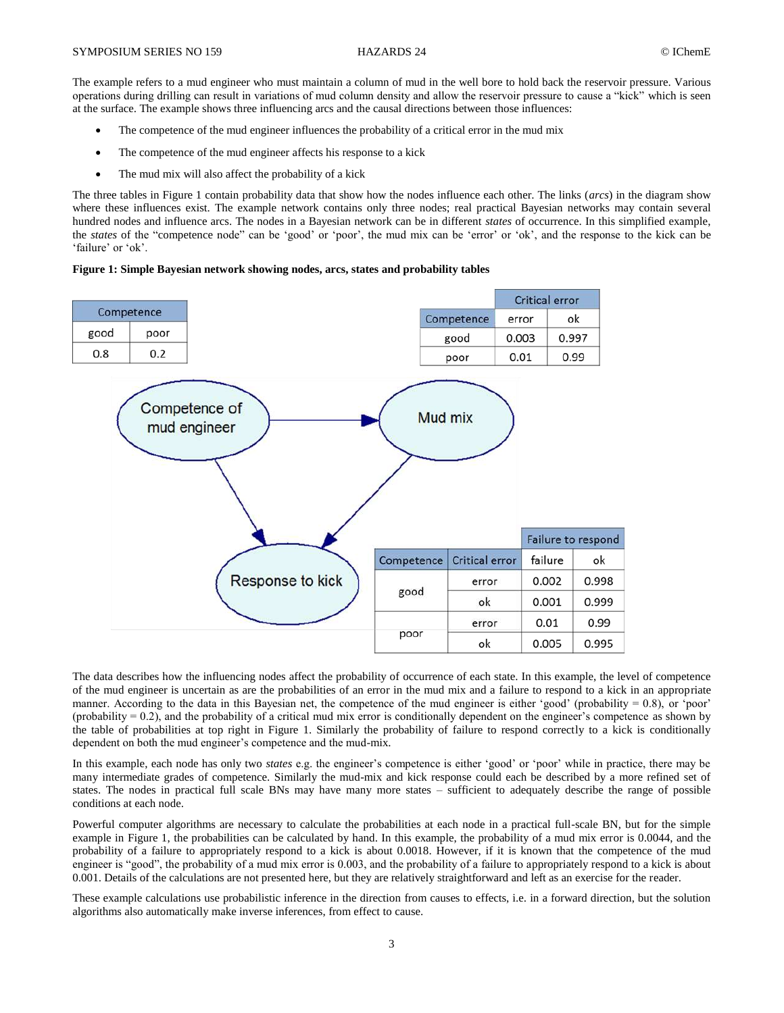The example refers to a mud engineer who must maintain a column of mud in the well bore to hold back the reservoir pressure. Various operations during drilling can result in variations of mud column density and allow the reservoir pressure to cause a "kick" which is seen at the surface. The example shows three influencing arcs and the causal directions between those influences:

- The competence of the mud engineer influences the probability of a critical error in the mud mix
- The competence of the mud engineer affects his response to a kick
- The mud mix will also affect the probability of a kick

The three tables in Figure 1 contain probability data that show how the nodes influence each other. The links (*arcs*) in the diagram show where these influences exist. The example network contains only three nodes; real practical Bayesian networks may contain several hundred nodes and influence arcs. The nodes in a Bayesian network can be in different *states* of occurrence. In this simplified example, the *states* of the "competence node" can be 'good' or 'poor', the mud mix can be 'error' or 'ok', and the response to the kick can be 'failure' or 'ok'.

#### **Figure 1: Simple Bayesian network showing nodes, arcs, states and probability tables**



The data describes how the influencing nodes affect the probability of occurrence of each state. In this example, the level of competence of the mud engineer is uncertain as are the probabilities of an error in the mud mix and a failure to respond to a kick in an appropriate manner. According to the data in this Bayesian net, the competence of the mud engineer is either 'good' (probability = 0.8), or 'poor' (probability  $= 0.2$ ), and the probability of a critical mud mix error is conditionally dependent on the engineer's competence as shown by the table of probabilities at top right in Figure 1. Similarly the probability of failure to respond correctly to a kick is conditionally dependent on both the mud engineer's competence and the mud-mix.

In this example, each node has only two *states* e.g. the engineer's competence is either 'good' or 'poor' while in practice, there may be many intermediate grades of competence. Similarly the mud-mix and kick response could each be described by a more refined set of states. The nodes in practical full scale BNs may have many more states – sufficient to adequately describe the range of possible conditions at each node.

Powerful computer algorithms are necessary to calculate the probabilities at each node in a practical full-scale BN, but for the simple example in Figure 1, the probabilities can be calculated by hand. In this example, the probability of a mud mix error is 0.0044, and the probability of a failure to appropriately respond to a kick is about 0.0018. However, if it is known that the competence of the mud engineer is "good", the probability of a mud mix error is 0.003, and the probability of a failure to appropriately respond to a kick is about 0.001. Details of the calculations are not presented here, but they are relatively straightforward and left as an exercise for the reader.

These example calculations use probabilistic inference in the direction from causes to effects, i.e. in a forward direction, but the solution algorithms also automatically make inverse inferences, from effect to cause.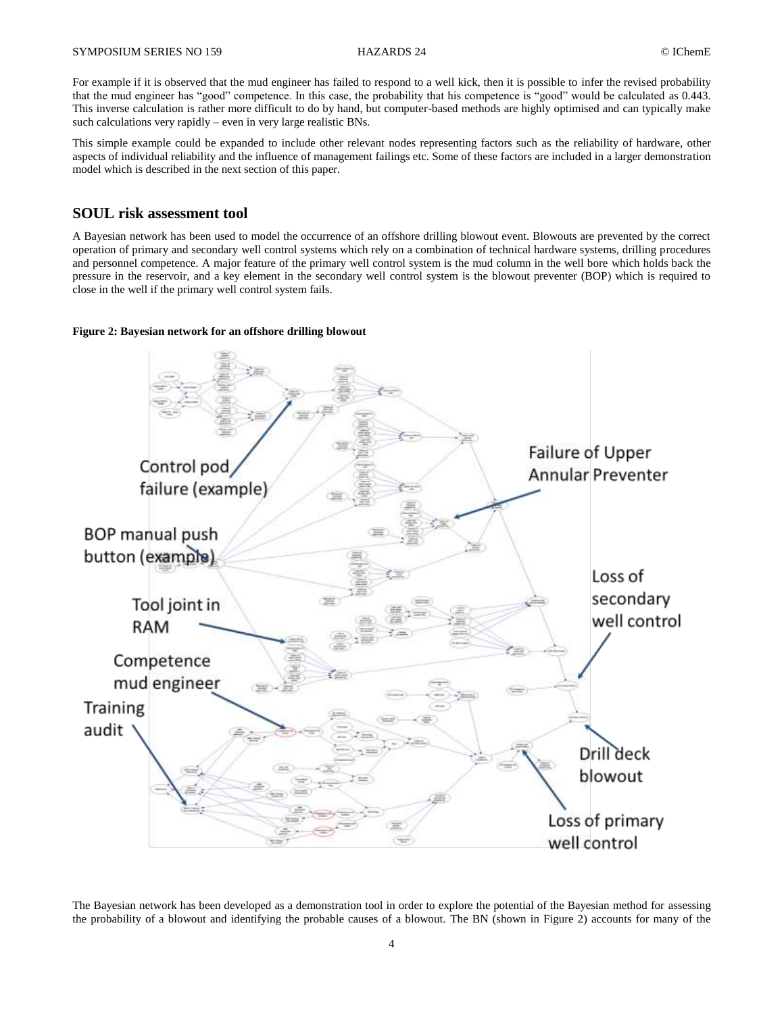For example if it is observed that the mud engineer has failed to respond to a well kick, then it is possible to infer the revised probability that the mud engineer has "good" competence. In this case, the probability that his competence is "good" would be calculated as 0.443. This inverse calculation is rather more difficult to do by hand, but computer-based methods are highly optimised and can typically make such calculations very rapidly – even in very large realistic BNs.

This simple example could be expanded to include other relevant nodes representing factors such as the reliability of hardware, other aspects of individual reliability and the influence of management failings etc. Some of these factors are included in a larger demonstration model which is described in the next section of this paper.

# **SOUL risk assessment tool**

A Bayesian network has been used to model the occurrence of an offshore drilling blowout event. Blowouts are prevented by the correct operation of primary and secondary well control systems which rely on a combination of technical hardware systems, drilling procedures and personnel competence. A major feature of the primary well control system is the mud column in the well bore which holds back the pressure in the reservoir, and a key element in the secondary well control system is the blowout preventer (BOP) which is required to close in the well if the primary well control system fails.

### **Figure 2: Bayesian network for an offshore drilling blowout**



The Bayesian network has been developed as a demonstration tool in order to explore the potential of the Bayesian method for assessing the probability of a blowout and identifying the probable causes of a blowout. The BN (shown in Figure 2) accounts for many of the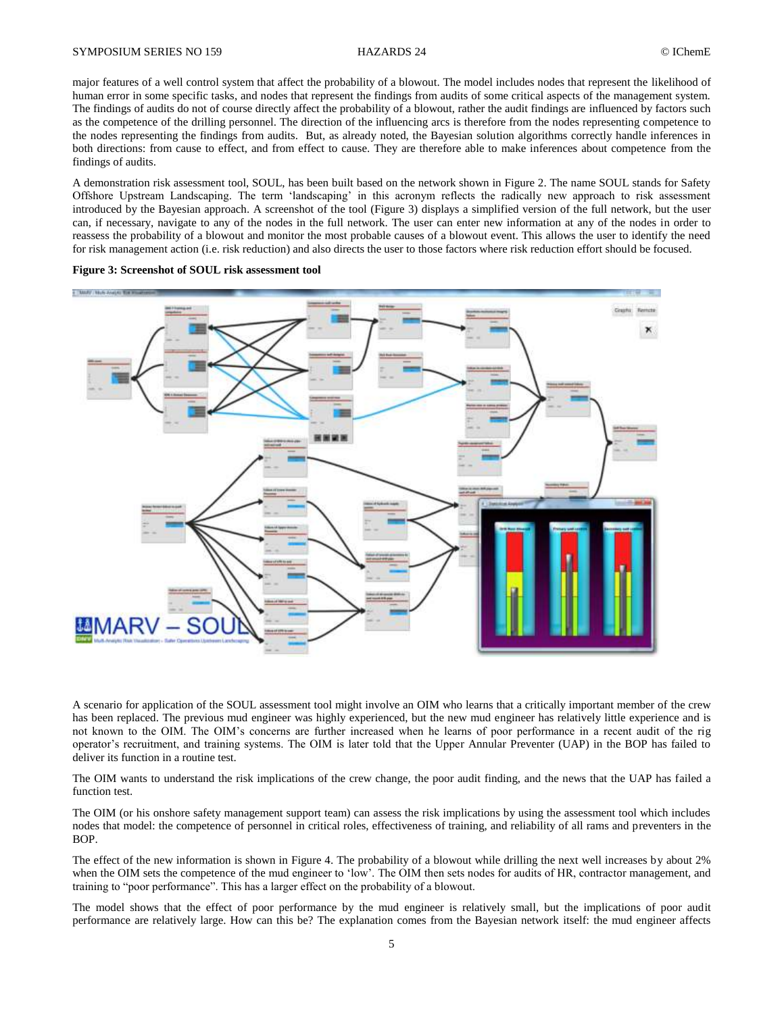major features of a well control system that affect the probability of a blowout. The model includes nodes that represent the likelihood of human error in some specific tasks, and nodes that represent the findings from audits of some critical aspects of the management system. The findings of audits do not of course directly affect the probability of a blowout, rather the audit findings are influenced by factors such as the competence of the drilling personnel. The direction of the influencing arcs is therefore from the nodes representing competence to the nodes representing the findings from audits. But, as already noted, the Bayesian solution algorithms correctly handle inferences in both directions: from cause to effect, and from effect to cause. They are therefore able to make inferences about competence from the findings of audits.

A demonstration risk assessment tool, SOUL, has been built based on the network shown in Figure 2. The name SOUL stands for Safety Offshore Upstream Landscaping. The term 'landscaping' in this acronym reflects the radically new approach to risk assessment introduced by the Bayesian approach. A screenshot of the tool (Figure 3) displays a simplified version of the full network, but the user can, if necessary, navigate to any of the nodes in the full network. The user can enter new information at any of the nodes in order to reassess the probability of a blowout and monitor the most probable causes of a blowout event. This allows the user to identify the need for risk management action (i.e. risk reduction) and also directs the user to those factors where risk reduction effort should be focused.

**Figure 3: Screenshot of SOUL risk assessment tool**



A scenario for application of the SOUL assessment tool might involve an OIM who learns that a critically important member of the crew has been replaced. The previous mud engineer was highly experienced, but the new mud engineer has relatively little experience and is not known to the OIM. The OIM's concerns are further increased when he learns of poor performance in a recent audit of the rig operator's recruitment, and training systems. The OIM is later told that the Upper Annular Preventer (UAP) in the BOP has failed to deliver its function in a routine test.

The OIM wants to understand the risk implications of the crew change, the poor audit finding, and the news that the UAP has failed a function test.

The OIM (or his onshore safety management support team) can assess the risk implications by using the assessment tool which includes nodes that model: the competence of personnel in critical roles, effectiveness of training, and reliability of all rams and preventers in the BOP.

The effect of the new information is shown in Figure 4. The probability of a blowout while drilling the next well increases by about 2% when the OIM sets the competence of the mud engineer to 'low'. The OIM then sets nodes for audits of HR, contractor management, and training to "poor performance". This has a larger effect on the probability of a blowout.

The model shows that the effect of poor performance by the mud engineer is relatively small, but the implications of poor audit performance are relatively large. How can this be? The explanation comes from the Bayesian network itself: the mud engineer affects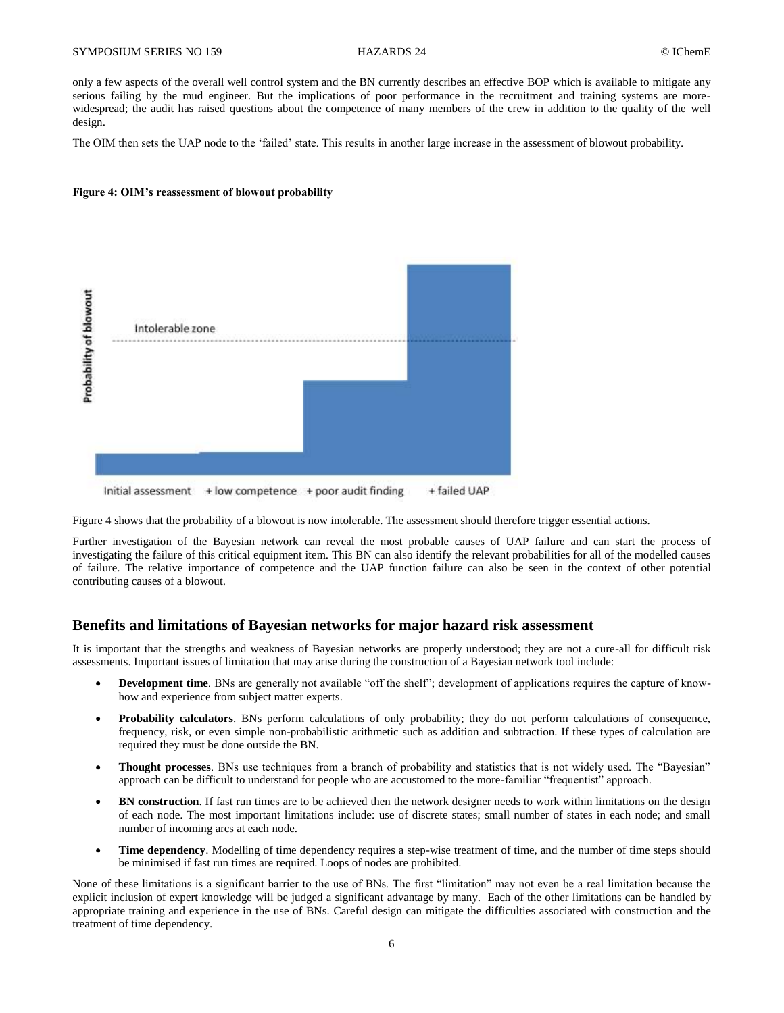only a few aspects of the overall well control system and the BN currently describes an effective BOP which is available to mitigate any serious failing by the mud engineer. But the implications of poor performance in the recruitment and training systems are morewidespread; the audit has raised questions about the competence of many members of the crew in addition to the quality of the well design.

The OIM then sets the UAP node to the 'failed' state. This results in another large increase in the assessment of blowout probability.

#### **Figure 4: OIM's reassessment of blowout probability**



Figure 4 shows that the probability of a blowout is now intolerable. The assessment should therefore trigger essential actions.

Further investigation of the Bayesian network can reveal the most probable causes of UAP failure and can start the process of investigating the failure of this critical equipment item. This BN can also identify the relevant probabilities for all of the modelled causes of failure. The relative importance of competence and the UAP function failure can also be seen in the context of other potential contributing causes of a blowout.

## **Benefits and limitations of Bayesian networks for major hazard risk assessment**

It is important that the strengths and weakness of Bayesian networks are properly understood; they are not a cure-all for difficult risk assessments. Important issues of limitation that may arise during the construction of a Bayesian network tool include:

- **Development time**. BNs are generally not available "off the shelf"; development of applications requires the capture of knowhow and experience from subject matter experts.
- **Probability calculators**. BNs perform calculations of only probability; they do not perform calculations of consequence, frequency, risk, or even simple non-probabilistic arithmetic such as addition and subtraction. If these types of calculation are required they must be done outside the BN.
- **Thought processes**. BNs use techniques from a branch of probability and statistics that is not widely used. The "Bayesian" approach can be difficult to understand for people who are accustomed to the more-familiar "frequentist" approach.
- **BN construction**. If fast run times are to be achieved then the network designer needs to work within limitations on the design of each node. The most important limitations include: use of discrete states; small number of states in each node; and small number of incoming arcs at each node.
- **Time dependency**. Modelling of time dependency requires a step-wise treatment of time, and the number of time steps should be minimised if fast run times are required. Loops of nodes are prohibited.

None of these limitations is a significant barrier to the use of BNs. The first "limitation" may not even be a real limitation because the explicit inclusion of expert knowledge will be judged a significant advantage by many. Each of the other limitations can be handled by appropriate training and experience in the use of BNs. Careful design can mitigate the difficulties associated with construction and the treatment of time dependency.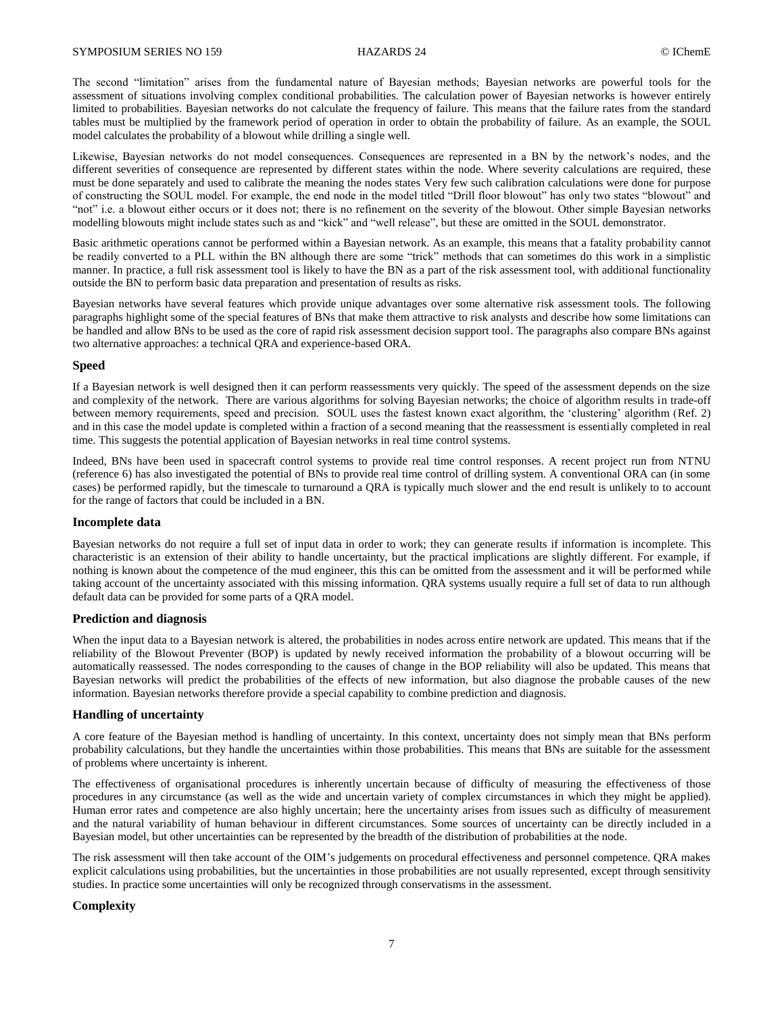The second "limitation" arises from the fundamental nature of Bayesian methods; Bayesian networks are powerful tools for the assessment of situations involving complex conditional probabilities. The calculation power of Bayesian networks is however entirely limited to probabilities. Bayesian networks do not calculate the frequency of failure. This means that the failure rates from the standard tables must be multiplied by the framework period of operation in order to obtain the probability of failure. As an example, the SOUL model calculates the probability of a blowout while drilling a single well.

Likewise, Bayesian networks do not model consequences. Consequences are represented in a BN by the network's nodes, and the different severities of consequence are represented by different states within the node. Where severity calculations are required, these must be done separately and used to calibrate the meaning the nodes states Very few such calibration calculations were done for purpose of constructing the SOUL model. For example, the end node in the model titled "Drill floor blowout" has only two states "blowout" and "not" i.e. a blowout either occurs or it does not; there is no refinement on the severity of the blowout. Other simple Bayesian networks modelling blowouts might include states such as and "kick" and "well release", but these are omitted in the SOUL demonstrator.

Basic arithmetic operations cannot be performed within a Bayesian network. As an example, this means that a fatality probability cannot be readily converted to a PLL within the BN although there are some "trick" methods that can sometimes do this work in a simplistic manner. In practice, a full risk assessment tool is likely to have the BN as a part of the risk assessment tool, with additional functionality outside the BN to perform basic data preparation and presentation of results as risks.

Bayesian networks have several features which provide unique advantages over some alternative risk assessment tools. The following paragraphs highlight some of the special features of BNs that make them attractive to risk analysts and describe how some limitations can be handled and allow BNs to be used as the core of rapid risk assessment decision support tool. The paragraphs also compare BNs against two alternative approaches: a technical QRA and experience-based ORA.

### **Speed**

If a Bayesian network is well designed then it can perform reassessments very quickly. The speed of the assessment depends on the size and complexity of the network. There are various algorithms for solving Bayesian networks; the choice of algorithm results in trade-off between memory requirements, speed and precision. SOUL uses the fastest known exact algorithm, the 'clustering' algorithm (Ref. 2) and in this case the model update is completed within a fraction of a second meaning that the reassessment is essentially completed in real time. This suggests the potential application of Bayesian networks in real time control systems.

Indeed, BNs have been used in spacecraft control systems to provide real time control responses. A recent project run from NTNU (reference 6) has also investigated the potential of BNs to provide real time control of drilling system. A conventional ORA can (in some cases) be performed rapidly, but the timescale to turnaround a QRA is typically much slower and the end result is unlikely to to account for the range of factors that could be included in a BN.

### **Incomplete data**

Bayesian networks do not require a full set of input data in order to work; they can generate results if information is incomplete. This characteristic is an extension of their ability to handle uncertainty, but the practical implications are slightly different. For example, if nothing is known about the competence of the mud engineer, this this can be omitted from the assessment and it will be performed while taking account of the uncertainty associated with this missing information. QRA systems usually require a full set of data to run although default data can be provided for some parts of a QRA model.

### **Prediction and diagnosis**

When the input data to a Bayesian network is altered, the probabilities in nodes across entire network are updated. This means that if the reliability of the Blowout Preventer (BOP) is updated by newly received information the probability of a blowout occurring will be automatically reassessed. The nodes corresponding to the causes of change in the BOP reliability will also be updated. This means that Bayesian networks will predict the probabilities of the effects of new information, but also diagnose the probable causes of the new information. Bayesian networks therefore provide a special capability to combine prediction and diagnosis.

### **Handling of uncertainty**

A core feature of the Bayesian method is handling of uncertainty. In this context, uncertainty does not simply mean that BNs perform probability calculations, but they handle the uncertainties within those probabilities. This means that BNs are suitable for the assessment of problems where uncertainty is inherent.

The effectiveness of organisational procedures is inherently uncertain because of difficulty of measuring the effectiveness of those procedures in any circumstance (as well as the wide and uncertain variety of complex circumstances in which they might be applied). Human error rates and competence are also highly uncertain; here the uncertainty arises from issues such as difficulty of measurement and the natural variability of human behaviour in different circumstances. Some sources of uncertainty can be directly included in a Bayesian model, but other uncertainties can be represented by the breadth of the distribution of probabilities at the node.

The risk assessment will then take account of the OIM's judgements on procedural effectiveness and personnel competence. QRA makes explicit calculations using probabilities, but the uncertainties in those probabilities are not usually represented, except through sensitivity studies. In practice some uncertainties will only be recognized through conservatisms in the assessment.

## **Complexity**